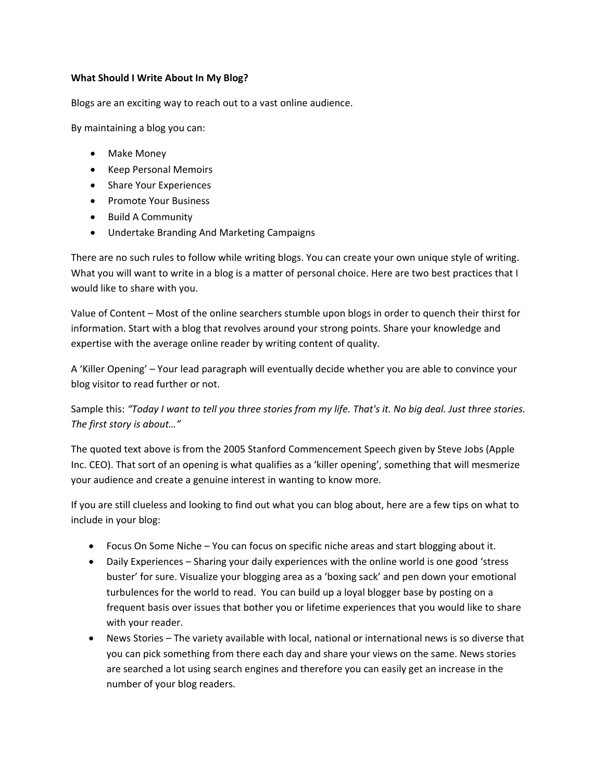## **What Should I Write About In My Blog?**

Blogs are an exciting way to reach out to a vast online audience.

By maintaining a blog you can:

- Make Money
- Keep Personal Memoirs
- Share Your Experiences
- Promote Your Business
- Build A Community
- Undertake Branding And Marketing Campaigns

There are no such rules to follow while writing blogs. You can create your own unique style of writing. What you will want to write in a blog is a matter of personal choice. Here are two best practices that I would like to share with you.

Value of Content – Most of the online searchers stumble upon blogs in order to quench their thirst for information. Start with a blog that revolves around your strong points. Share your knowledge and expertise with the average online reader by writing content of quality.

A 'Killer Opening' – Your lead paragraph will eventually decide whether you are able to convince your blog visitor to read further or not.

Sample this: *"Today I want to tell you three stories from my life. That's it. No big deal. Just three stories. The first story is about…"* 

The quoted text above is from the 2005 Stanford Commencement Speech given by Steve Jobs (Apple Inc. CEO). That sort of an opening is what qualifies as a 'killer opening', something that will mesmerize your audience and create a genuine interest in wanting to know more.

If you are still clueless and looking to find out what you can blog about, here are a few tips on what to include in your blog:

- Focus On Some Niche You can focus on specific niche areas and start blogging about it.
- Daily Experiences Sharing your daily experiences with the online world is one good 'stress buster' for sure. Visualize your blogging area as a 'boxing sack' and pen down your emotional turbulences for the world to read. You can build up a loyal blogger base by posting on a frequent basis over issues that bother you or lifetime experiences that you would like to share with your reader.
- News Stories The variety available with local, national or international news is so diverse that you can pick something from there each day and share your views on the same. News stories are searched a lot using search engines and therefore you can easily get an increase in the number of your blog readers.